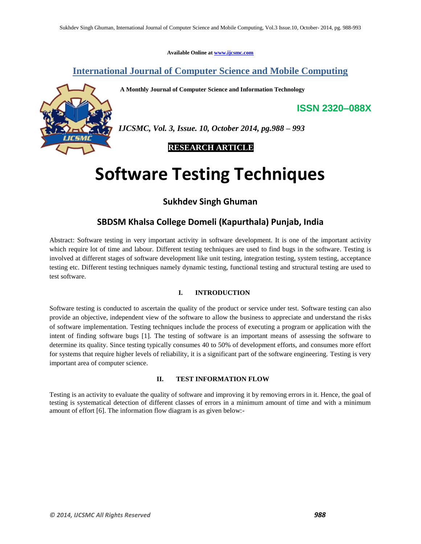**Available Online at www.ijcsmc.com**

# **International Journal of Computer Science and Mobile Computing**

**A Monthly Journal of Computer Science and Information Technology**



*IJCSMC, Vol. 3, Issue. 10, October 2014, pg.988 – 993*

 **RESEARCH ARTICLE**

# **Software Testing Techniques**

# **Sukhdev Singh Ghuman**

# **SBDSM Khalsa College Domeli (Kapurthala) Punjab, India**

Abstract: Software testing in very important activity in software development. It is one of the important activity which require lot of time and labour. Different testing techniques are used to find bugs in the software. Testing is involved at different stages of software development like unit testing, integration testing, system testing, acceptance testing etc. Different testing techniques namely dynamic testing, functional testing and structural testing are used to test software.

# **I. INTRODUCTION**

Software testing is conducted to ascertain the quality of the product or service under test. Software testing can also provide an objective, independent view of the software to allow the business to appreciate and understand the risks of software implementation. Testing techniques include the process of executing a program or application with the intent of finding software bugs [1]. The testing of software is an important means of assessing the software to determine its quality. Since testing typically consumes 40 to 50% of development efforts, and consumes more effort for systems that require higher levels of reliability, it is a significant part of the software engineering. Testing is very important area of computer science.

## **II. TEST INFORMATION FLOW**

Testing is an activity to evaluate the quality of software and improving it by removing errors in it. Hence, the goal of testing is systematical detection of different classes of errors in a minimum amount of time and with a minimum amount of effort [6]. The information flow diagram is as given below:-

**ISSN 2320–088X**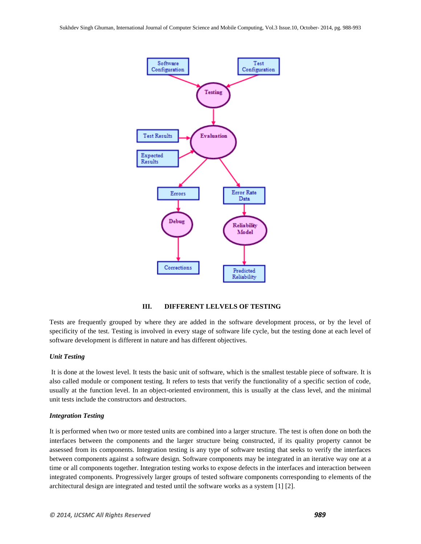

# **III. DIFFERENT LELVELS OF TESTING**

Tests are frequently grouped by where they are added in the software development process, or by the level of specificity of the test. Testing is involved in every stage of software life cycle, but the testing done at each level of software development is different in nature and has different objectives.

## *Unit Testing*

It is done at the lowest level. It tests the basic unit of software, which is the smallest testable piece of software. It is also called module or component testing. It refers to tests that verify the functionality of a specific section of code, usually at the function level. In an object-oriented environment, this is usually at the class level, and the minimal unit tests include the constructors and destructors.

## *Integration Testing*

It is performed when two or more tested units are combined into a larger structure. The test is often done on both the interfaces between the components and the larger structure being constructed, if its quality property cannot be assessed from its components. Integration testing is any type of software testing that seeks to verify the interfaces between components against a software design. Software components may be integrated in an iterative way one at a time or all components together. Integration testing works to expose defects in the interfaces and interaction between integrated components. Progressively larger groups of tested software components corresponding to elements of the architectural design are integrated and tested until the software works as a system [1] [2].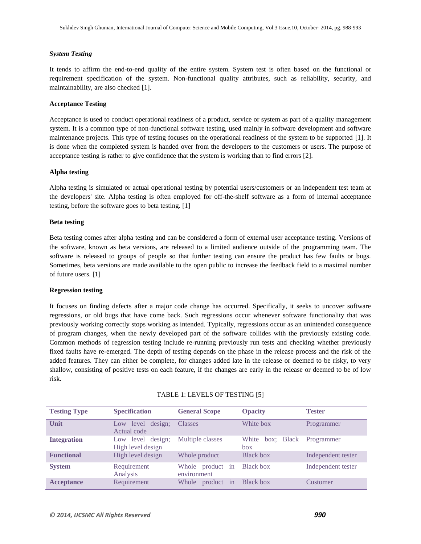# *System Testing*

It tends to affirm the end-to-end quality of the entire system. System test is often based on the functional or requirement specification of the system. Non-functional quality attributes, such as reliability, security, and maintainability, are also checked [1].

# **Acceptance Testing**

Acceptance is used to conduct operational readiness of a product, service or system as part of a quality management system. It is a common type of non-functional software testing, used mainly in software development and software maintenance projects. This type of testing focuses on the operational readiness of the system to be supported [1]. It is done when the completed system is handed over from the developers to the customers or users. The purpose of acceptance testing is rather to give confidence that the system is working than to find errors [2].

# **Alpha testing**

Alpha testing is simulated or actual operational testing by potential users/customers or an independent test team at the developers' site. Alpha testing is often employed for off-the-shelf software as a form of internal acceptance testing, before the software goes to beta testing. [1]

## **Beta testing**

Beta testing comes after alpha testing and can be considered a form of external user acceptance testing. Versions of the software, known as beta versions, are released to a limited audience outside of the programming team. The software is released to groups of people so that further testing can ensure the product has few faults or bugs. Sometimes, beta versions are made available to the open public to increase the feedback field to a maximal number of future users. [1]

## **Regression testing**

It focuses on finding defects after a major code change has occurred. Specifically, it seeks to uncover software regressions, or old bugs that have come back. Such regressions occur whenever software functionality that was previously working correctly stops working as intended. Typically, regressions occur as an unintended consequence of program changes, when the newly developed part of the software collides with the previously existing code. Common methods of regression testing include re-running previously run tests and checking whether previously fixed faults have re-emerged. The depth of testing depends on the phase in the release process and the risk of the added features. They can either be complete, for changes added late in the release or deemed to be risky, to very shallow, consisting of positive tests on each feature, if the changes are early in the release or deemed to be of low risk.

| <b>Testing Type</b> | <b>Specification</b>                   | <b>General Scope</b>            | <b>Opacity</b>          | <b>Tester</b>      |
|---------------------|----------------------------------------|---------------------------------|-------------------------|--------------------|
| Unit                | design;<br>Low level<br>Actual code    | <b>Classes</b>                  | White box               | Programmer         |
| <b>Integration</b>  | Low level design:<br>High level design | Multiple classes                | White box; Black<br>hox | Programmer         |
| <b>Functional</b>   | High level design                      | Whole product                   | <b>Black box</b>        | Independent tester |
| <b>System</b>       | Requirement<br>Analysis                | Whole product in<br>environment | Black box               | Independent tester |
| <b>Acceptance</b>   | Requirement                            | Whole product in                | <b>Black box</b>        | Customer           |

## TABLE 1: LEVELS OF TESTING [5]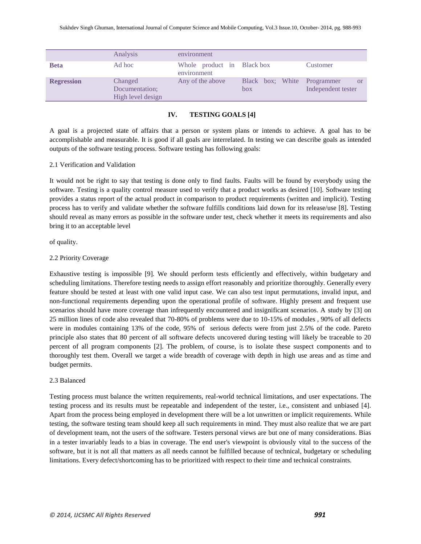|                   | Analysis                                       | environment                               |                         |                                               |
|-------------------|------------------------------------------------|-------------------------------------------|-------------------------|-----------------------------------------------|
| <b>Beta</b>       | Ad hoc                                         | Whole product in Black box<br>environment |                         | Customer                                      |
| <b>Regression</b> | Changed<br>Documentation;<br>High level design | Any of the above                          | Black box; White<br>box | Programmer<br><b>or</b><br>Independent tester |

# **IV. TESTING GOALS [4]**

A goal is a projected state of affairs that a person or system plans or intends to achieve. A goal has to be accomplishable and measurable. It is good if all goals are interrelated. In testing we can describe goals as intended outputs of the software testing process. Software testing has following goals:

# 2.1 Verification and Validation

It would not be right to say that testing is done only to find faults. Faults will be found by everybody using the software. Testing is a quality control measure used to verify that a product works as desired [10]. Software testing provides a status report of the actual product in comparison to product requirements (written and implicit). Testing process has to verify and validate whether the software fulfills conditions laid down for its release/use [8]. Testing should reveal as many errors as possible in the software under test, check whether it meets its requirements and also bring it to an acceptable level

of quality.

# 2.2 Priority Coverage

Exhaustive testing is impossible [9]. We should perform tests efficiently and effectively, within budgetary and scheduling limitations. Therefore testing needs to assign effort reasonably and prioritize thoroughly. Generally every feature should be tested at least with one valid input case. We can also test input permutations, invalid input, and non-functional requirements depending upon the operational profile of software. Highly present and frequent use scenarios should have more coverage than infrequently encountered and insignificant scenarios. A study by [3] on 25 million lines of code also revealed that 70-80% of problems were due to 10-15% of modules , 90% of all defects were in modules containing 13% of the code, 95% of serious defects were from just 2.5% of the code. Pareto principle also states that 80 percent of all software defects uncovered during testing will likely be traceable to 20 percent of all program components [2]. The problem, of course, is to isolate these suspect components and to thoroughly test them. Overall we target a wide breadth of coverage with depth in high use areas and as time and budget permits.

## 2.3 Balanced

Testing process must balance the written requirements, real-world technical limitations, and user expectations. The testing process and its results must be repeatable and independent of the tester, i.e., consistent and unbiased [4]. Apart from the process being employed in development there will be a lot unwritten or implicit requirements. While testing, the software testing team should keep all such requirements in mind. They must also realize that we are part of development team, not the users of the software. Testers personal views are but one of many considerations. Bias in a tester invariably leads to a bias in coverage. The end user's viewpoint is obviously vital to the success of the software, but it is not all that matters as all needs cannot be fulfilled because of technical, budgetary or scheduling limitations. Every defect/shortcoming has to be prioritized with respect to their time and technical constraints.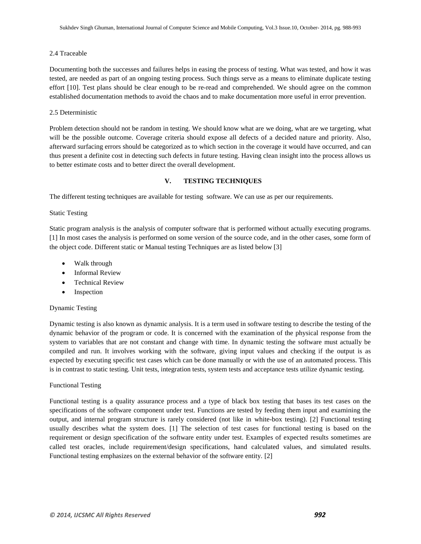## 2.4 Traceable

Documenting both the successes and failures helps in easing the process of testing. What was tested, and how it was tested, are needed as part of an ongoing testing process. Such things serve as a means to eliminate duplicate testing effort [10]. Test plans should be clear enough to be re-read and comprehended. We should agree on the common established documentation methods to avoid the chaos and to make documentation more useful in error prevention.

# 2.5 Deterministic

Problem detection should not be random in testing. We should know what are we doing, what are we targeting, what will be the possible outcome. Coverage criteria should expose all defects of a decided nature and priority. Also, afterward surfacing errors should be categorized as to which section in the coverage it would have occurred, and can thus present a definite cost in detecting such defects in future testing. Having clean insight into the process allows us to better estimate costs and to better direct the overall development.

# **V. TESTING TECHNIQUES**

The different testing techniques are available for testing software. We can use as per our requirements.

# Static Testing

Static program analysis is the analysis of computer software that is performed without actually executing programs. [1] In most cases the analysis is performed on some version of the source code, and in the other cases, some form of the object code. Different static or Manual testing Techniques are as listed below [3]

- Walk through
- Informal Review
- Technical Review
- Inspection

## Dynamic Testing

Dynamic testing is also known as dynamic analysis. It is a term used in software testing to describe the testing of the dynamic behavior of the program or code. It is concerned with the examination of the physical response from the system to variables that are not constant and change with time. In dynamic testing the software must actually be compiled and run. It involves working with the software, giving input values and checking if the output is as expected by executing specific test cases which can be done manually or with the use of an automated process. This is in contrast to static testing. Unit tests, integration tests, system tests and acceptance tests utilize dynamic testing.

## Functional Testing

Functional testing is a quality assurance process and a type of black box testing that bases its test cases on the specifications of the software component under test. Functions are tested by feeding them input and examining the output, and internal program structure is rarely considered (not like in white-box testing). [2] Functional testing usually describes what the system does. [1] The selection of test cases for functional testing is based on the requirement or design specification of the software entity under test. Examples of expected results sometimes are called test oracles, include requirement/design specifications, hand calculated values, and simulated results. Functional testing emphasizes on the external behavior of the software entity. [2]